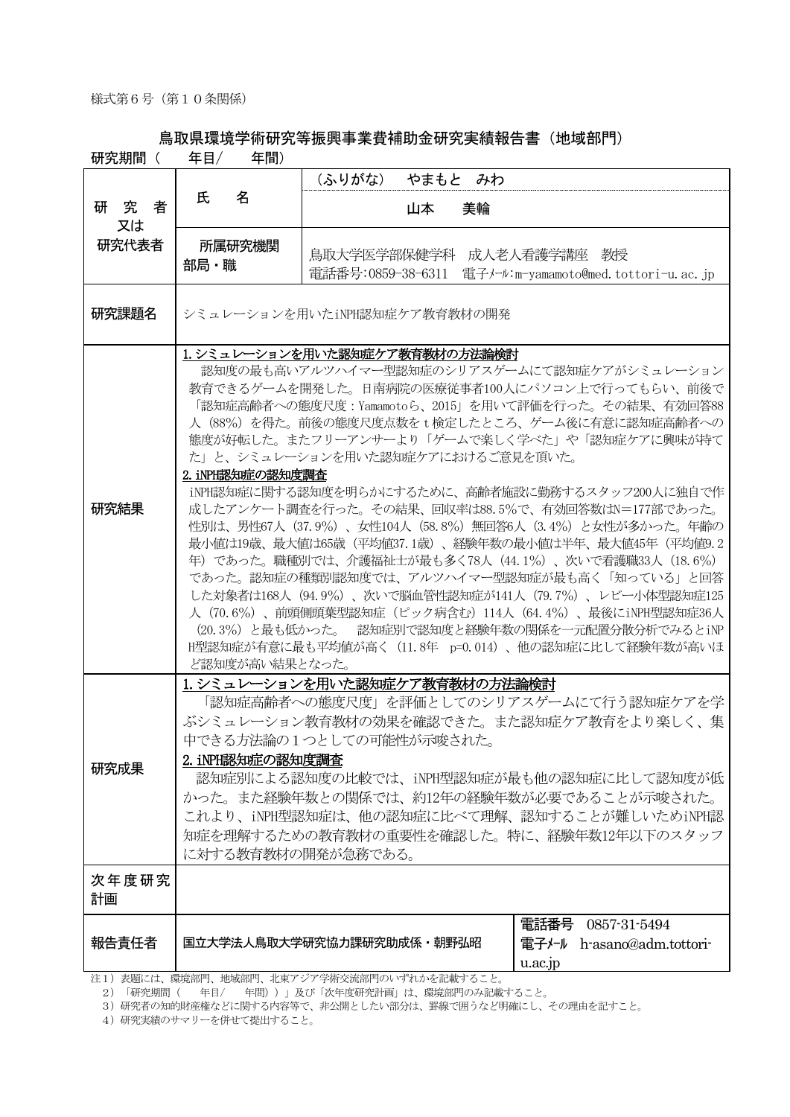## 鳥取県環境学術研究等振興事業費補助金研究実績報告書(地域部門)

| 研究期間(       | 年目/<br>年間)                                                                                                                                                                                                                                                                                                                                                                                                                                                                                                                                                                                                                                                                                                                                                                                                                                                                                                                           |                                                                          |                                                                  |  |
|-------------|--------------------------------------------------------------------------------------------------------------------------------------------------------------------------------------------------------------------------------------------------------------------------------------------------------------------------------------------------------------------------------------------------------------------------------------------------------------------------------------------------------------------------------------------------------------------------------------------------------------------------------------------------------------------------------------------------------------------------------------------------------------------------------------------------------------------------------------------------------------------------------------------------------------------------------------|--------------------------------------------------------------------------|------------------------------------------------------------------|--|
|             | 名<br>氏                                                                                                                                                                                                                                                                                                                                                                                                                                                                                                                                                                                                                                                                                                                                                                                                                                                                                                                               | (ふりがな)                                                                   | やまもと みわ                                                          |  |
| 研究者<br>又は   |                                                                                                                                                                                                                                                                                                                                                                                                                                                                                                                                                                                                                                                                                                                                                                                                                                                                                                                                      | 山本                                                                       | 美輪                                                               |  |
| 研究代表者       | 所属研究機関<br>部局・職                                                                                                                                                                                                                                                                                                                                                                                                                                                                                                                                                                                                                                                                                                                                                                                                                                                                                                                       | 電話番号:0859-38-6311                                                        | 鳥取大学医学部保健学科 成人老人看護学講座 教授<br>電子メール:m-yamamoto@med.tottori-u.ac.jp |  |
| 研究課題名       | シミュレーションを用いたiNPH認知症ケア教育教材の開発                                                                                                                                                                                                                                                                                                                                                                                                                                                                                                                                                                                                                                                                                                                                                                                                                                                                                                         |                                                                          |                                                                  |  |
| 研究結果        | 1. シミュレーションを用いた認知症ケア教育教材の方法論検討<br>認知度の最も高いアルツハイマー型認知症のシリアスゲームにて認知症ケアがシミュレーション<br>教育できるゲームを開発した。日南病院の医療従事者100人にパソコン上で行ってもらい、前後で<br>「認知症高齢者への態度尺度:Yamamotoら、2015」を用いて評価を行った。その結果、有効回答88<br>人 (88%) を得た。前後の態度尺度点数をt検定したところ、ゲーム後に有意に認知症高齢者への<br>態度が好転した。またフリーアンサーより「ゲームで楽しく学べた」や「認知症ケアに興味が持て<br>た」と、シミュレーションを用いた認知症ケアにおけるご意見を頂いた。<br>2. iNPH認知症の認知度調査<br>iNPH認知症に関する認知度を明らかにするために、高齢者施設に勤務するスタッフ200人に独自で作<br>成したアンケート調査を行った。その結果、回収率は88.5%で、有効回答数はN=177部であった。<br>性別は、男性67人 (37.9%)、女性104人 (58.8%) 無回答6人 (3.4%) と女性が多かった。年齢の<br>最小値は19歳、最大値は65歳(平均値37.1歳)、経験年数の最小値は半年、最大値45年(平均値9.2<br>年)であった。職種別では、介護福祉士が最も多く78人(44.1%)、次いで看護職33人(18.6%)<br>であった。認知症の種類別認知度では、アルツハイマー型認知症が最も高く「知っている」と回答<br>した対象者は168人 (94.9%)、次いで脳血管性認知症が141人 (79.7%)、レビー小体型認知症125<br>人(70.6%)、前頭側頭葉型認知症(ピック病含む)114人(64.4%)、最後にiNPH型認知症36人<br>(20.3%) と最も低かった。 認知症別で認知度と経験年数の関係を一元配置分散分析でみるとiNP<br>H型認知症が有意に最も平均値が高く(11.8年 p=0.014)、他の認知症に比して経験年数が高いほ<br>ど認知度が高い結果となった。 |                                                                          |                                                                  |  |
| 研究成果        | 1. シミュレーションを用いた認知症ケア教育教材の方法論検討<br>「認知症高齢者への態度尺度」を評価としてのシリアスゲームにて行う認知症ケアを学<br>ぶシミュレーション教育教材の効果を確認できた。また認知症ケア教育をより楽しく、集<br>中できる方法論の1つとしての可能性が示唆された。<br>2. iNPH認知症の認知度調査<br>認知症別による認知度の比較では、iNPH型認知症が最も他の認知症に比して認知度が低<br>かった。また経験年数との関係では、約12年の経験年数が必要であることが示唆された。<br>これより、iNPH型認知症は、他の認知症に比べて理解、認知することが難しいためiNPH認<br>知症を理解するための教育教材の重要性を確認した。特に、経験年数12年以下のスタッフ<br>に対する教育教材の開発が急務である。                                                                                                                                                                                                                                                                                                                                                                                                                                                                                                                                                   |                                                                          |                                                                  |  |
| 次年度研究<br>計画 |                                                                                                                                                                                                                                                                                                                                                                                                                                                                                                                                                                                                                                                                                                                                                                                                                                                                                                                                      |                                                                          |                                                                  |  |
| 報告責任者       |                                                                                                                                                                                                                                                                                                                                                                                                                                                                                                                                                                                                                                                                                                                                                                                                                                                                                                                                      | 国立大学法人鳥取大学研究協力課研究助成係・朝野弘昭<br>注1) 表題には、環境部門、地域部門、北東アジア学術交流部門のいずれかを記載すること。 | 電話番号 0857-31-5494<br>電子メール h-asano@adm.tottori-<br>u.ac.jp       |  |
|             |                                                                                                                                                                                                                                                                                                                                                                                                                                                                                                                                                                                                                                                                                                                                                                                                                                                                                                                                      |                                                                          |                                                                  |  |

2)「研究期間( 年目/ 年間))」及び「次年度研究計画」は、環境部門のみ記載すること。

3)研究者の知的財産権などに関する内容等で、非公開としたい部分は、罫線で囲うなど明確にし、その理由を記すこと。

4)研究実績のサマリーを併せて提出すること。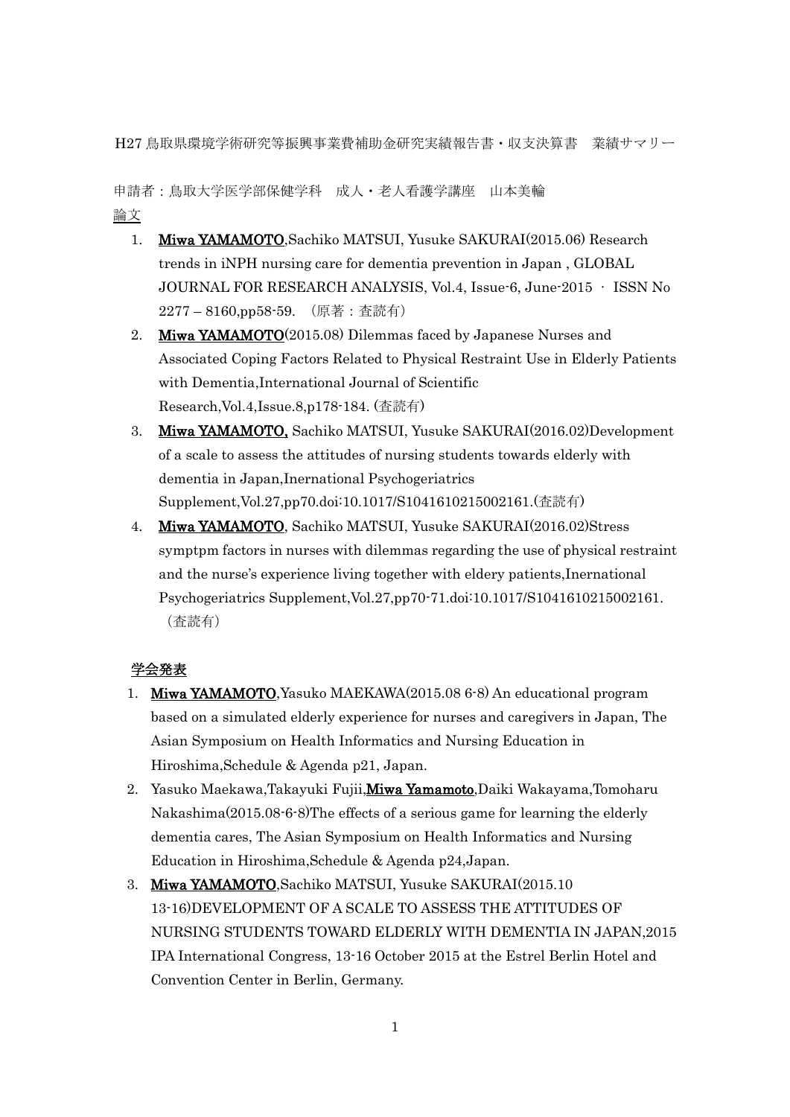H27 鳥取県環境学術研究等振興事業費補助金研究実績報告書・収支決算書 業績サマリー

申請者:鳥取大学医学部保健学科 成人・老人看護学講座 山本美輪 論文

- 1. Miwa YAMAMOTO,Sachiko MATSUI, Yusuke SAKURAI(2015.06) Research trends in iNPH nursing care for dementia prevention in Japan , GLOBAL JOURNAL FOR RESEARCH ANALYSIS, Vol.4, Issue-6, June-2015 • ISSN No 2277 – 8160,pp58-59. (原著:査読有)
- 2. Miwa YAMAMOTO(2015.08) Dilemmas faced by Japanese Nurses and Associated Coping Factors Related to Physical Restraint Use in Elderly Patients with Dementia,International Journal of Scientific Research,Vol.4,Issue.8,p178-184. (査読有)
- 3. Miwa YAMAMOTO, Sachiko MATSUI, Yusuke SAKURAI(2016.02)Development of a scale to assess the attitudes of nursing students towards elderly with dementia in Japan,Inernational Psychogeriatrics Supplement,Vol.27,pp70.doi:10.1017/S1041610215002161.(査読有)
- 4. Miwa YAMAMOTO, Sachiko MATSUI, Yusuke SAKURAI(2016.02)Stress symptpm factors in nurses with dilemmas regarding the use of physical restraint and the nurse's experience living together with eldery patients,Inernational Psychogeriatrics Supplement,Vol.27,pp70-71.doi:10.1017/S1041610215002161. (査読有)

## 学会発表

- 1. Miwa YAMAMOTO,Yasuko MAEKAWA(2015.08 6-8) An educational program based on a simulated elderly experience for nurses and caregivers in Japan, The Asian Symposium on Health Informatics and Nursing Education in Hiroshima,Schedule & Agenda p21, Japan.
- 2. Yasuko Maekawa,Takayuki Fujii, Miwa Yamamoto, Daiki Wakayama, Tomoharu Nakashima(2015.08-6-8)The effects of a serious game for learning the elderly dementia cares, The Asian Symposium on Health Informatics and Nursing Education in Hiroshima,Schedule & Agenda p24,Japan.
- 3. Miwa YAMAMOTO,Sachiko MATSUI, Yusuke SAKURAI(2015.10 13-16)DEVELOPMENT OF A SCALE TO ASSESS THE ATTITUDES OF NURSING STUDENTS TOWARD ELDERLY WITH DEMENTIA IN JAPAN,2015 IPA International Congress, 13-16 October 2015 at the Estrel Berlin Hotel and Convention Center in Berlin, Germany.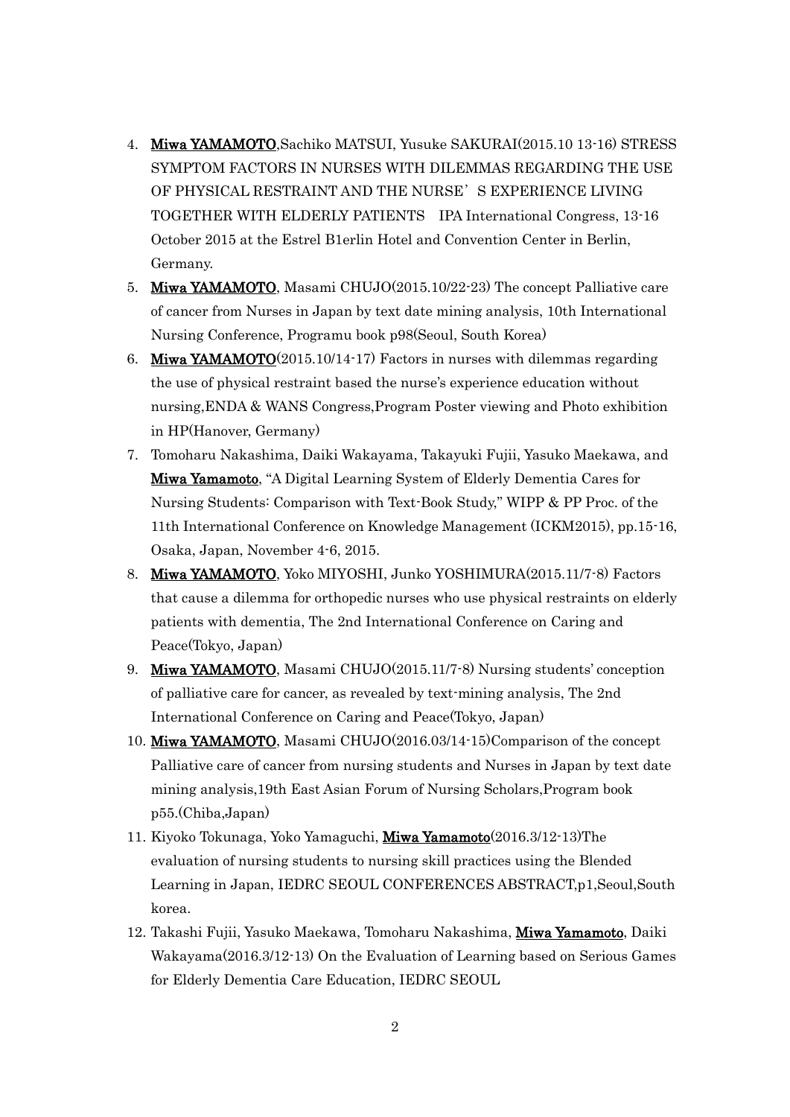- 4. Miwa YAMAMOTO,Sachiko MATSUI, Yusuke SAKURAI(2015.10 13-16) STRESS SYMPTOM FACTORS IN NURSES WITH DILEMMAS REGARDING THE USE OF PHYSICAL RESTRAINT AND THE NURSE'S EXPERIENCE LIVING TOGETHER WITH ELDERLY PATIENTS IPA International Congress, 13-16 October 2015 at the Estrel B1erlin Hotel and Convention Center in Berlin, Germany.
- 5. Miwa YAMAMOTO, Masami CHUJO(2015.10/22-23) The concept Palliative care of cancer from Nurses in Japan by text date mining analysis, 10th International Nursing Conference, Programu book p98(Seoul, South Korea)
- 6. Miwa YAMAMOTO(2015.10/14-17) Factors in nurses with dilemmas regarding the use of physical restraint based the nurse's experience education without nursing,ENDA & WANS Congress,Program Poster viewing and Photo exhibition in HP(Hanover, Germany)
- 7. Tomoharu Nakashima, Daiki Wakayama, Takayuki Fujii, Yasuko Maekawa, and Miwa Yamamoto, "A Digital Learning System of Elderly Dementia Cares for Nursing Students: Comparison with Text-Book Study," WIPP & PP Proc. of the 11th International Conference on Knowledge Management (ICKM2015), pp.15-16, Osaka, Japan, November 4-6, 2015.
- 8. Miwa YAMAMOTO, Yoko MIYOSHI, Junko YOSHIMURA(2015.11/7-8) Factors that cause a dilemma for orthopedic nurses who use physical restraints on elderly patients with dementia, The 2nd International Conference on Caring and Peace(Tokyo, Japan)
- 9. Miwa YAMAMOTO, Masami CHUJO(2015.11/7-8) Nursing students' conception of palliative care for cancer, as revealed by text-mining analysis, The 2nd International Conference on Caring and Peace(Tokyo, Japan)
- 10. Miwa YAMAMOTO, Masami CHUJO(2016.03/14-15)Comparison of the concept Palliative care of cancer from nursing students and Nurses in Japan by text date mining analysis,19th East Asian Forum of Nursing Scholars,Program book p55.(Chiba,Japan)
- 11. Kiyoko Tokunaga, Yoko Yamaguchi, Miwa Yamamoto(2016.3/12-13)The evaluation of nursing students to nursing skill practices using the Blended Learning in Japan, IEDRC SEOUL CONFERENCES ABSTRACT,p1,Seoul,South korea.
- 12. Takashi Fujii, Yasuko Maekawa, Tomoharu Nakashima, Miwa Yamamoto, Daiki Wakayama(2016.3/12-13) On the Evaluation of Learning based on Serious Games for Elderly Dementia Care Education, IEDRC SEOUL